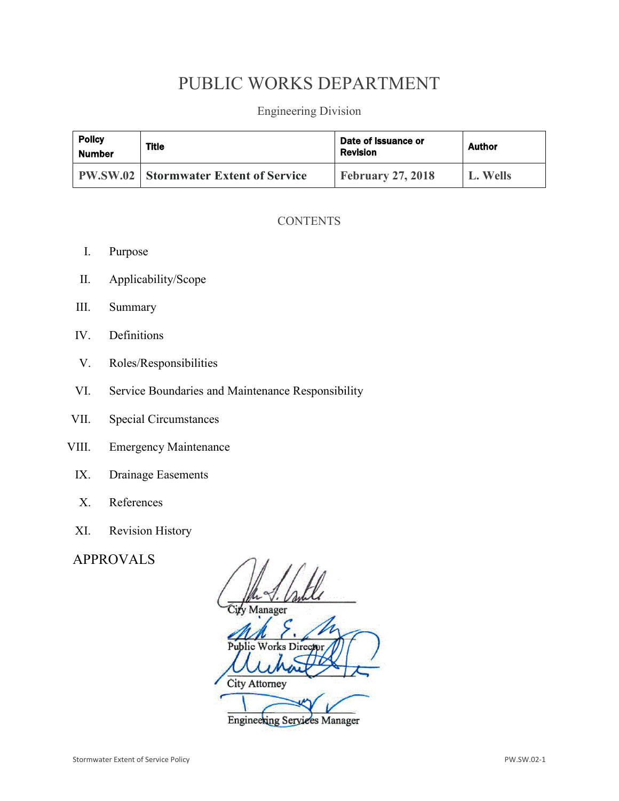# PUBLIC WORKS DEPARTMENT

Engineering Division

| <b>Policy</b><br><b>Number</b> | Title                                          | Date of Issuance or<br><b>Revision</b> | <b>Author</b> |
|--------------------------------|------------------------------------------------|----------------------------------------|---------------|
|                                | <b>PW.SW.02   Stormwater Extent of Service</b> | <b>February 27, 2018</b>               | L. Wells      |

# **CONTENTS**

- I. Purpose
- II. Applicability/Scope
- III. Summary
- IV. Definitions
- V. Roles/Responsibilities
- VI. Service Boundaries and Maintenance Responsibility
- VII. Special Circumstances
- VIII. Emergency Maintenance
	- IX. Drainage Easements
	- X. References
	- XI. Revision History

# APPROVALS

Manager Public Works Director City Attorney **Engineering Services Manager**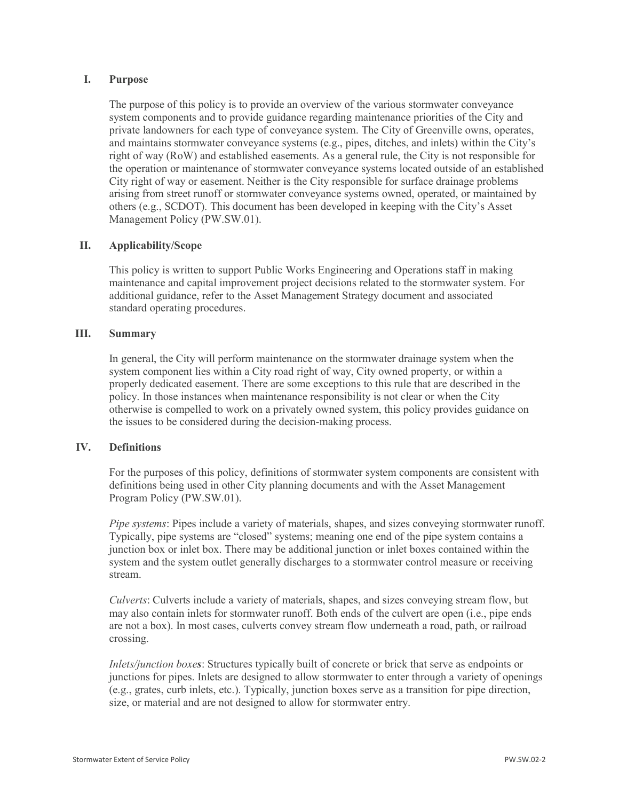#### **I. Purpose**

The purpose of this policy is to provide an overview of the various stormwater conveyance system components and to provide guidance regarding maintenance priorities of the City and private landowners for each type of conveyance system. The City of Greenville owns, operates, and maintains stormwater conveyance systems (e.g., pipes, ditches, and inlets) within the City's right of way (RoW) and established easements. As a general rule, the City is not responsible for the operation or maintenance of stormwater conveyance systems located outside of an established City right of way or easement. Neither is the City responsible for surface drainage problems arising from street runoff or stormwater conveyance systems owned, operated, or maintained by others (e.g., SCDOT). This document has been developed in keeping with the City's Asset Management Policy (PW.SW.01).

# **II. Applicability/Scope**

This policy is written to support Public Works Engineering and Operations staff in making maintenance and capital improvement project decisions related to the stormwater system. For additional guidance, refer to the Asset Management Strategy document and associated standard operating procedures.

# **III. Summary**

In general, the City will perform maintenance on the stormwater drainage system when the system component lies within a City road right of way, City owned property, or within a properly dedicated easement. There are some exceptions to this rule that are described in the policy. In those instances when maintenance responsibility is not clear or when the City otherwise is compelled to work on a privately owned system, this policy provides guidance on the issues to be considered during the decision-making process.

#### **IV. Definitions**

For the purposes of this policy, definitions of stormwater system components are consistent with definitions being used in other City planning documents and with the Asset Management Program Policy (PW.SW.01).

*Pipe systems*: Pipes include a variety of materials, shapes, and sizes conveying stormwater runoff. Typically, pipe systems are "closed" systems; meaning one end of the pipe system contains a junction box or inlet box. There may be additional junction or inlet boxes contained within the system and the system outlet generally discharges to a stormwater control measure or receiving stream.

*Culverts*: Culverts include a variety of materials, shapes, and sizes conveying stream flow, but may also contain inlets for stormwater runoff. Both ends of the culvert are open (i.e., pipe ends are not a box). In most cases, culverts convey stream flow underneath a road, path, or railroad crossing.

*Inlets/junction boxes*: Structures typically built of concrete or brick that serve as endpoints or junctions for pipes. Inlets are designed to allow stormwater to enter through a variety of openings (e.g., grates, curb inlets, etc.). Typically, junction boxes serve as a transition for pipe direction, size, or material and are not designed to allow for stormwater entry.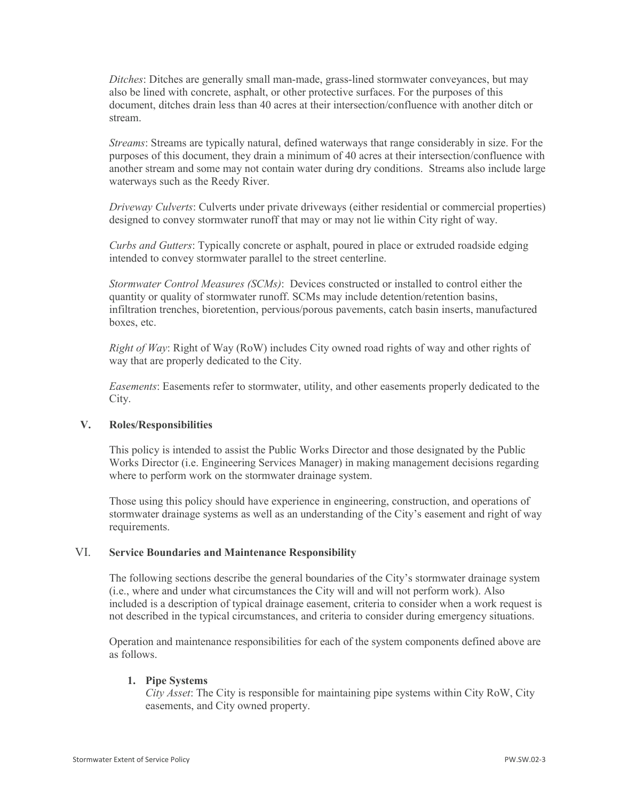*Ditches*: Ditches are generally small man-made, grass-lined stormwater conveyances, but may also be lined with concrete, asphalt, or other protective surfaces. For the purposes of this document, ditches drain less than 40 acres at their intersection/confluence with another ditch or stream.

*Streams*: Streams are typically natural, defined waterways that range considerably in size. For the purposes of this document, they drain a minimum of 40 acres at their intersection/confluence with another stream and some may not contain water during dry conditions. Streams also include large waterways such as the Reedy River.

*Driveway Culverts*: Culverts under private driveways (either residential or commercial properties) designed to convey stormwater runoff that may or may not lie within City right of way.

*Curbs and Gutters*: Typically concrete or asphalt, poured in place or extruded roadside edging intended to convey stormwater parallel to the street centerline.

*Stormwater Control Measures (SCMs)*: Devices constructed or installed to control either the quantity or quality of stormwater runoff. SCMs may include detention/retention basins, infiltration trenches, bioretention, pervious/porous pavements, catch basin inserts, manufactured boxes, etc.

*Right of Way*: Right of Way (RoW) includes City owned road rights of way and other rights of way that are properly dedicated to the City.

*Easements*: Easements refer to stormwater, utility, and other easements properly dedicated to the City.

# **V. Roles/Responsibilities**

This policy is intended to assist the Public Works Director and those designated by the Public Works Director (i.e. Engineering Services Manager) in making management decisions regarding where to perform work on the stormwater drainage system.

Those using this policy should have experience in engineering, construction, and operations of stormwater drainage systems as well as an understanding of the City's easement and right of way requirements.

#### VI. **Service Boundaries and Maintenance Responsibility**

The following sections describe the general boundaries of the City's stormwater drainage system (i.e., where and under what circumstances the City will and will not perform work). Also included is a description of typical drainage easement, criteria to consider when a work request is not described in the typical circumstances, and criteria to consider during emergency situations.

Operation and maintenance responsibilities for each of the system components defined above are as follows.

# **1. Pipe Systems**

*City Asset*: The City is responsible for maintaining pipe systems within City RoW, City easements, and City owned property.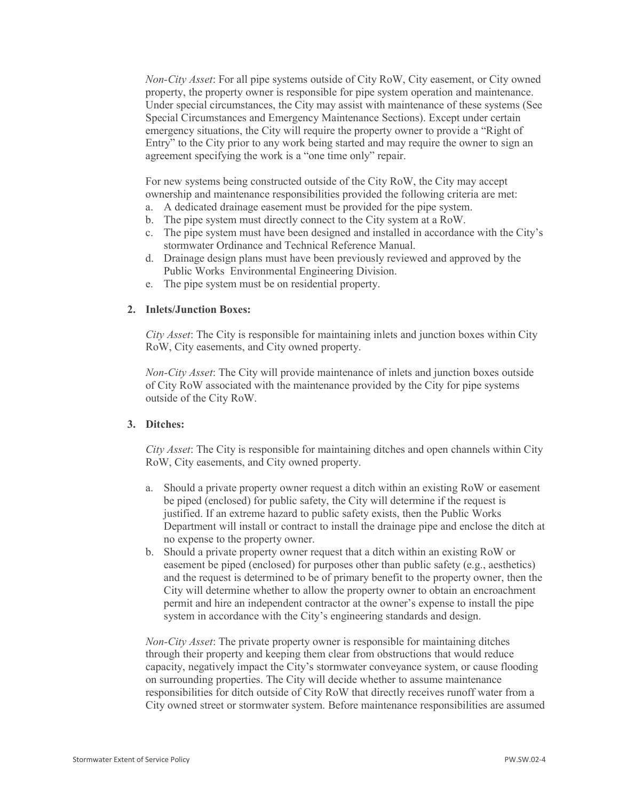*Non-City Asset*: For all pipe systems outside of City RoW, City easement, or City owned property, the property owner is responsible for pipe system operation and maintenance. Under special circumstances, the City may assist with maintenance of these systems (See Special Circumstances and Emergency Maintenance Sections). Except under certain emergency situations, the City will require the property owner to provide a "Right of Entry" to the City prior to any work being started and may require the owner to sign an agreement specifying the work is a "one time only" repair.

For new systems being constructed outside of the City RoW, the City may accept ownership and maintenance responsibilities provided the following criteria are met:

- a. A dedicated drainage easement must be provided for the pipe system.
- b. The pipe system must directly connect to the City system at a RoW.
- c. The pipe system must have been designed and installed in accordance with the City's stormwater Ordinance and Technical Reference Manual.
- d. Drainage design plans must have been previously reviewed and approved by the Public Works Environmental Engineering Division.
- e. The pipe system must be on residential property.

#### **2. Inlets/Junction Boxes:**

*City Asset*: The City is responsible for maintaining inlets and junction boxes within City RoW, City easements, and City owned property.

*Non-City Asset*: The City will provide maintenance of inlets and junction boxes outside of City RoW associated with the maintenance provided by the City for pipe systems outside of the City RoW.

# **3. Ditches:**

*City Asset*: The City is responsible for maintaining ditches and open channels within City RoW, City easements, and City owned property.

- a. Should a private property owner request a ditch within an existing RoW or easement be piped (enclosed) for public safety, the City will determine if the request is justified. If an extreme hazard to public safety exists, then the Public Works Department will install or contract to install the drainage pipe and enclose the ditch at no expense to the property owner.
- b. Should a private property owner request that a ditch within an existing RoW or easement be piped (enclosed) for purposes other than public safety (e.g., aesthetics) and the request is determined to be of primary benefit to the property owner, then the City will determine whether to allow the property owner to obtain an encroachment permit and hire an independent contractor at the owner's expense to install the pipe system in accordance with the City's engineering standards and design.

*Non-City Asset*: The private property owner is responsible for maintaining ditches through their property and keeping them clear from obstructions that would reduce capacity, negatively impact the City's stormwater conveyance system, or cause flooding on surrounding properties. The City will decide whether to assume maintenance responsibilities for ditch outside of City RoW that directly receives runoff water from a City owned street or stormwater system. Before maintenance responsibilities are assumed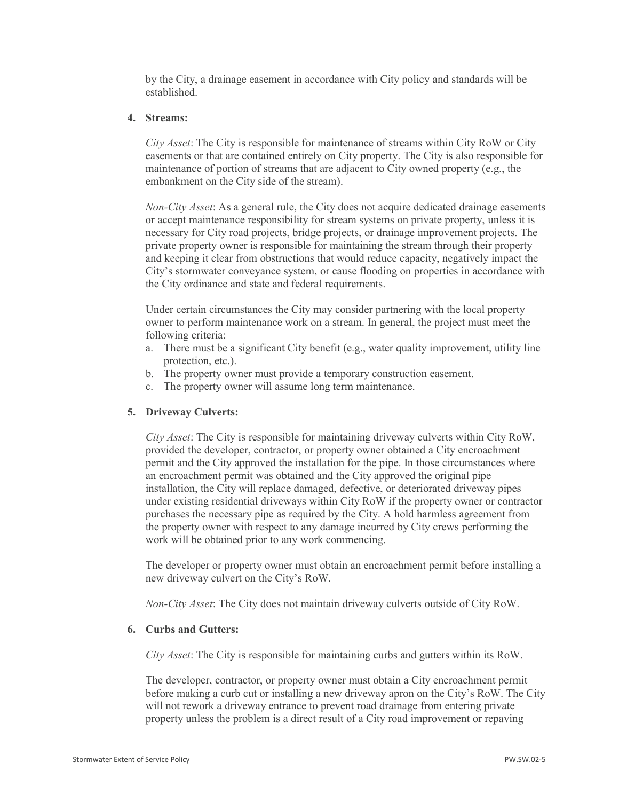by the City, a drainage easement in accordance with City policy and standards will be established.

#### **4. Streams:**

*City Asset*: The City is responsible for maintenance of streams within City RoW or City easements or that are contained entirely on City property. The City is also responsible for maintenance of portion of streams that are adjacent to City owned property (e.g., the embankment on the City side of the stream).

*Non-City Asset*: As a general rule, the City does not acquire dedicated drainage easements or accept maintenance responsibility for stream systems on private property, unless it is necessary for City road projects, bridge projects, or drainage improvement projects. The private property owner is responsible for maintaining the stream through their property and keeping it clear from obstructions that would reduce capacity, negatively impact the City's stormwater conveyance system, or cause flooding on properties in accordance with the City ordinance and state and federal requirements.

Under certain circumstances the City may consider partnering with the local property owner to perform maintenance work on a stream. In general, the project must meet the following criteria:

- a. There must be a significant City benefit (e.g., water quality improvement, utility line protection, etc.).
- b. The property owner must provide a temporary construction easement.
- c. The property owner will assume long term maintenance.

# **5. Driveway Culverts:**

*City Asset*: The City is responsible for maintaining driveway culverts within City RoW, provided the developer, contractor, or property owner obtained a City encroachment permit and the City approved the installation for the pipe. In those circumstances where an encroachment permit was obtained and the City approved the original pipe installation, the City will replace damaged, defective, or deteriorated driveway pipes under existing residential driveways within City RoW if the property owner or contractor purchases the necessary pipe as required by the City. A hold harmless agreement from the property owner with respect to any damage incurred by City crews performing the work will be obtained prior to any work commencing.

The developer or property owner must obtain an encroachment permit before installing a new driveway culvert on the City's RoW.

*Non-City Asset*: The City does not maintain driveway culverts outside of City RoW.

#### **6. Curbs and Gutters:**

*City Asset*: The City is responsible for maintaining curbs and gutters within its RoW.

The developer, contractor, or property owner must obtain a City encroachment permit before making a curb cut or installing a new driveway apron on the City's RoW. The City will not rework a driveway entrance to prevent road drainage from entering private property unless the problem is a direct result of a City road improvement or repaving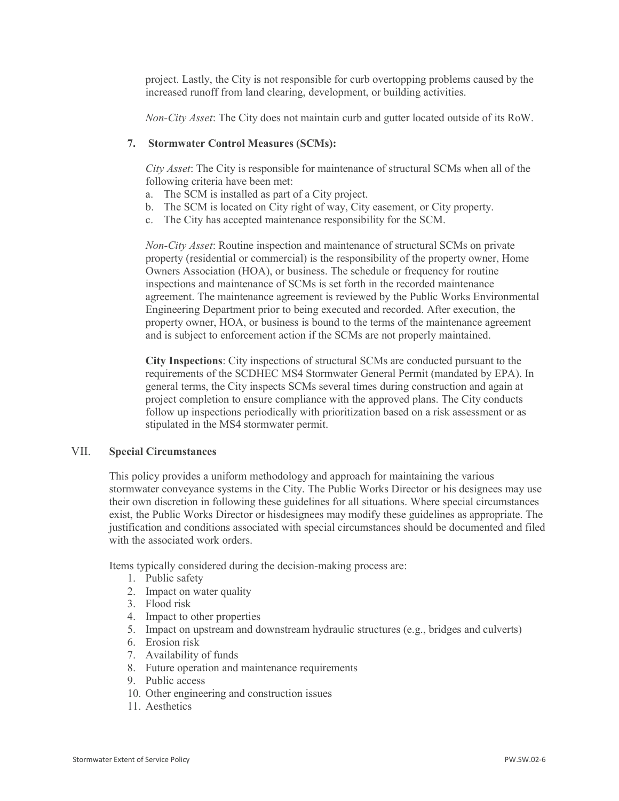project. Lastly, the City is not responsible for curb overtopping problems caused by the increased runoff from land clearing, development, or building activities.

*Non-City Asset*: The City does not maintain curb and gutter located outside of its RoW.

# **7. Stormwater Control Measures (SCMs):**

*City Asset*: The City is responsible for maintenance of structural SCMs when all of the following criteria have been met:

- a. The SCM is installed as part of a City project.
- b. The SCM is located on City right of way, City easement, or City property.
- c. The City has accepted maintenance responsibility for the SCM.

*Non-City Asset*: Routine inspection and maintenance of structural SCMs on private property (residential or commercial) is the responsibility of the property owner, Home Owners Association (HOA), or business. The schedule or frequency for routine inspections and maintenance of SCMs is set forth in the recorded maintenance agreement. The maintenance agreement is reviewed by the Public Works Environmental Engineering Department prior to being executed and recorded. After execution, the property owner, HOA, or business is bound to the terms of the maintenance agreement and is subject to enforcement action if the SCMs are not properly maintained.

**City Inspections**: City inspections of structural SCMs are conducted pursuant to the requirements of the SCDHEC MS4 Stormwater General Permit (mandated by EPA). In general terms, the City inspects SCMs several times during construction and again at project completion to ensure compliance with the approved plans. The City conducts follow up inspections periodically with prioritization based on a risk assessment or as stipulated in the MS4 stormwater permit.

#### VII. **Special Circumstances**

This policy provides a uniform methodology and approach for maintaining the various stormwater conveyance systems in the City. The Public Works Director or his designees may use their own discretion in following these guidelines for all situations. Where special circumstances exist, the Public Works Director or hisdesignees may modify these guidelines as appropriate. The justification and conditions associated with special circumstances should be documented and filed with the associated work orders.

Items typically considered during the decision-making process are:

- 1. Public safety
- 2. Impact on water quality
- 3. Flood risk
- 4. Impact to other properties
- 5. Impact on upstream and downstream hydraulic structures (e.g., bridges and culverts)
- 6. Erosion risk
- 7. Availability of funds
- 8. Future operation and maintenance requirements
- 9. Public access
- 10. Other engineering and construction issues
- 11. Aesthetics